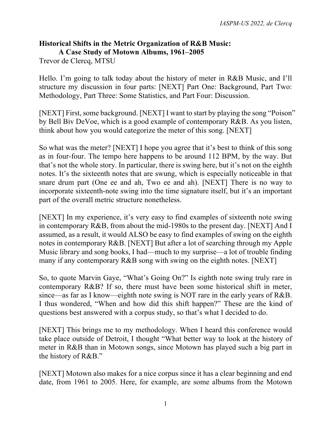## **Historical Shifts in the Metric Organization of R&B Music: A Case Study of Motown Albums, 1961–2005**

Trevor de Clercq, MTSU

Hello. I'm going to talk today about the history of meter in R&B Music, and I'll structure my discussion in four parts: [NEXT] Part One: Background, Part Two: Methodology, Part Three: Some Statistics, and Part Four: Discussion.

[NEXT] First, some background. [NEXT] I want to start by playing the song "Poison" by Bell Biv DeVoe, which is a good example of contemporary R&B. As you listen, think about how you would categorize the meter of this song. [NEXT]

So what was the meter? [NEXT] I hope you agree that it's best to think of this song as in four-four. The tempo here happens to be around 112 BPM, by the way. But that's not the whole story. In particular, there is swing here, but it's not on the eighth notes. It's the sixteenth notes that are swung, which is especially noticeable in that snare drum part (One ee and ah, Two ee and ah). [NEXT] There is no way to incorporate sixteenth-note swing into the time signature itself, but it's an important part of the overall metric structure nonetheless.

[NEXT] In my experience, it's very easy to find examples of sixteenth note swing in contemporary R&B, from about the mid-1980s to the present day. [NEXT] And I assumed, as a result, it would ALSO be easy to find examples of swing on the eighth notes in contemporary R&B. [NEXT] But after a lot of searching through my Apple Music library and song books, I had—much to my surprise—a lot of trouble finding many if any contemporary R&B song with swing on the eighth notes. [NEXT]

So, to quote Marvin Gaye, "What's Going On?" Is eighth note swing truly rare in contemporary R&B? If so, there must have been some historical shift in meter, since—as far as I know—eighth note swing is NOT rare in the early years of R&B. I thus wondered, "When and how did this shift happen?" These are the kind of questions best answered with a corpus study, so that's what I decided to do.

[NEXT] This brings me to my methodology. When I heard this conference would take place outside of Detroit, I thought "What better way to look at the history of meter in R&B than in Motown songs, since Motown has played such a big part in the history of R&B."

[NEXT] Motown also makes for a nice corpus since it has a clear beginning and end date, from 1961 to 2005. Here, for example, are some albums from the Motown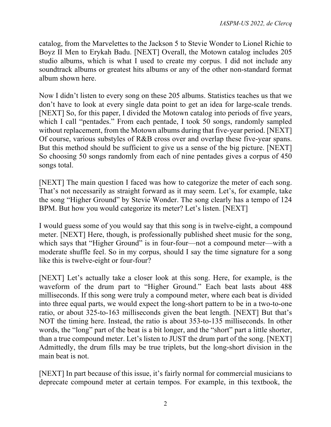catalog, from the Marvelettes to the Jackson 5 to Stevie Wonder to Lionel Richie to Boyz II Men to Erykah Badu. [NEXT] Overall, the Motown catalog includes 205 studio albums, which is what I used to create my corpus. I did not include any soundtrack albums or greatest hits albums or any of the other non-standard format album shown here.

Now I didn't listen to every song on these 205 albums. Statistics teaches us that we don't have to look at every single data point to get an idea for large-scale trends. [NEXT] So, for this paper, I divided the Motown catalog into periods of five years, which I call "pentades." From each pentade, I took 50 songs, randomly sampled without replacement, from the Motown albums during that five-year period. [NEXT] Of course, various substyles of R&B cross over and overlap these five-year spans. But this method should be sufficient to give us a sense of the big picture. [NEXT] So choosing 50 songs randomly from each of nine pentades gives a corpus of 450 songs total.

[NEXT] The main question I faced was how to categorize the meter of each song. That's not necessarily as straight forward as it may seem. Let's, for example, take the song "Higher Ground" by Stevie Wonder. The song clearly has a tempo of 124 BPM. But how you would categorize its meter? Let's listen. [NEXT]

I would guess some of you would say that this song is in twelve-eight, a compound meter. [NEXT] Here, though, is professionally published sheet music for the song, which says that "Higher Ground" is in four-four—not a compound meter—with a moderate shuffle feel. So in my corpus, should I say the time signature for a song like this is twelve-eight or four-four?

[NEXT] Let's actually take a closer look at this song. Here, for example, is the waveform of the drum part to "Higher Ground." Each beat lasts about 488 milliseconds. If this song were truly a compound meter, where each beat is divided into three equal parts, we would expect the long-short pattern to be in a two-to-one ratio, or about 325-to-163 milliseconds given the beat length. [NEXT] But that's NOT the timing here. Instead, the ratio is about 353-to-135 milliseconds. In other words, the "long" part of the beat is a bit longer, and the "short" part a little shorter, than a true compound meter. Let's listen to JUST the drum part of the song. [NEXT] Admittedly, the drum fills may be true triplets, but the long-short division in the main beat is not.

[NEXT] In part because of this issue, it's fairly normal for commercial musicians to deprecate compound meter at certain tempos. For example, in this textbook, the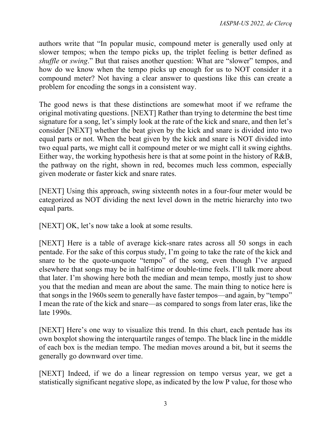authors write that "In popular music, compound meter is generally used only at slower tempos; when the tempo picks up, the triplet feeling is better defined as *shuffle* or *swing*." But that raises another question: What are "slower" tempos, and how do we know when the tempo picks up enough for us to NOT consider it a compound meter? Not having a clear answer to questions like this can create a problem for encoding the songs in a consistent way.

The good news is that these distinctions are somewhat moot if we reframe the original motivating questions. [NEXT] Rather than trying to determine the best time signature for a song, let's simply look at the rate of the kick and snare, and then let's consider [NEXT] whether the beat given by the kick and snare is divided into two equal parts or not. When the beat given by the kick and snare is NOT divided into two equal parts, we might call it compound meter or we might call it swing eighths. Either way, the working hypothesis here is that at some point in the history of R&B, the pathway on the right, shown in red, becomes much less common, especially given moderate or faster kick and snare rates.

[NEXT] Using this approach, swing sixteenth notes in a four-four meter would be categorized as NOT dividing the next level down in the metric hierarchy into two equal parts.

[NEXT] OK, let's now take a look at some results.

[NEXT] Here is a table of average kick-snare rates across all 50 songs in each pentade. For the sake of this corpus study, I'm going to take the rate of the kick and snare to be the quote-unquote "tempo" of the song, even though I've argued elsewhere that songs may be in half-time or double-time feels. I'll talk more about that later. I'm showing here both the median and mean tempo, mostly just to show you that the median and mean are about the same. The main thing to notice here is that songs in the 1960s seem to generally have faster tempos—and again, by "tempo" I mean the rate of the kick and snare—as compared to songs from later eras, like the late 1990s.

[NEXT] Here's one way to visualize this trend. In this chart, each pentade has its own boxplot showing the interquartile ranges of tempo. The black line in the middle of each box is the median tempo. The median moves around a bit, but it seems the generally go downward over time.

[NEXT] Indeed, if we do a linear regression on tempo versus year, we get a statistically significant negative slope, as indicated by the low P value, for those who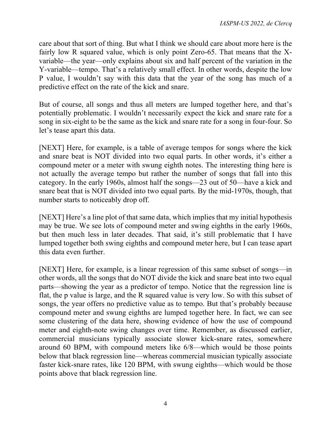care about that sort of thing. But what I think we should care about more here is the fairly low R squared value, which is only point Zero-65. That means that the Xvariable—the year—only explains about six and half percent of the variation in the Y-variable—tempo. That's a relatively small effect. In other words, despite the low P value, I wouldn't say with this data that the year of the song has much of a predictive effect on the rate of the kick and snare.

But of course, all songs and thus all meters are lumped together here, and that's potentially problematic. I wouldn't necessarily expect the kick and snare rate for a song in six-eight to be the same as the kick and snare rate for a song in four-four. So let's tease apart this data.

[NEXT] Here, for example, is a table of average tempos for songs where the kick and snare beat is NOT divided into two equal parts. In other words, it's either a compound meter or a meter with swung eighth notes. The interesting thing here is not actually the average tempo but rather the number of songs that fall into this category. In the early 1960s, almost half the songs—23 out of 50—have a kick and snare beat that is NOT divided into two equal parts. By the mid-1970s, though, that number starts to noticeably drop off.

[NEXT] Here's a line plot of that same data, which implies that my initial hypothesis may be true. We see lots of compound meter and swing eighths in the early 1960s, but then much less in later decades. That said, it's still problematic that I have lumped together both swing eighths and compound meter here, but I can tease apart this data even further.

[NEXT] Here, for example, is a linear regression of this same subset of songs—in other words, all the songs that do NOT divide the kick and snare beat into two equal parts—showing the year as a predictor of tempo. Notice that the regression line is flat, the p value is large, and the R squared value is very low. So with this subset of songs, the year offers no predictive value as to tempo. But that's probably because compound meter and swung eighths are lumped together here. In fact, we can see some clustering of the data here, showing evidence of how the use of compound meter and eighth-note swing changes over time. Remember, as discussed earlier, commercial musicians typically associate slower kick-snare rates, somewhere around 60 BPM, with compound meters like 6/8—which would be those points below that black regression line—whereas commercial musician typically associate faster kick-snare rates, like 120 BPM, with swung eighths—which would be those points above that black regression line.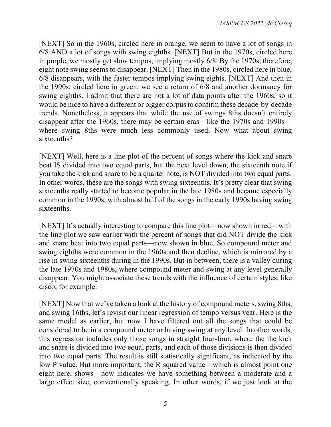[NEXT] So in the 1960s, circled here in orange, we seem to have a lot of songs in 6/8 AND a lot of songs with swing eighths. [NEXT] But in the 1970s, circled here in purple, we mostly get slow tempos, implying mostly 6/8. By the 1970s, therefore, eight note swing seems to disappear. [NEXT] Then in the 1980s, circled here in blue, 6/8 disappears, with the faster tempos implying swing eights. [NEXT] And then in the 1990s, circled here in green, we see a return of 6/8 and another dormancy for swing eighths. I admit that there are not a lot of data points after the 1960s, so it would be nice to have a different or bigger corpus to confirm these decade-by-decade trends. Nonetheless, it appears that while the use of swings 8ths doesn't entirely disappear after the 1960s, there may be certain eras—like the 1970s and 1990s where swing 8ths were much less commonly used. Now what about swing sixteenths?

[NEXT] Well, here is a line plot of the percent of songs where the kick and snare beat IS divided into two equal parts, but the next level down, the sixteenth note if you take the kick and snare to be a quarter note, is NOT divided into two equal parts. In other words, these are the songs with swing sixteenths. It's pretty clear that swing sixteenths really started to become popular in the late 1980s and became especially common in the 1990s, with almost half of the songs in the early 1990s having swing sixteenths.

[NEXT] It's actually interesting to compare this line plot—now shown in red—with the line plot we saw earlier with the percent of songs that did NOT divide the kick and snare beat into two equal parts—now shown in blue. So compound meter and swing eighths were common in the 1960s and then decline, which is mirrored by a rise in swing sixteenths during in the 1990s. But in between, there is a valley during the late 1970s and 1980s, where compound meter and swing at any level generally disappear. You might associate these trends with the influence of certain styles, like disco, for example.

[NEXT] Now that we've taken a look at the history of compound meters, swing 8ths, and swing 16ths, let's revisit our linear regression of tempo versus year. Here is the same model as earlier, but now I have filtered out all the songs that could be considered to be in a compound meter or having swing at any level. In other words, this regression includes only those songs in straight four-four, where the the kick and snare is divided into two equal parts, and each of those divisions is then divided into two equal parts. The result is still statistically significant, as indicated by the low P value. But more important, the R squared value—which is almost point one eight here, shows—now indicates we have something between a moderate and a large effect size, conventionally speaking. In other words, if we just look at the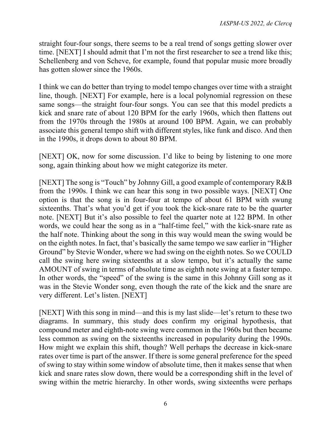straight four-four songs, there seems to be a real trend of songs getting slower over time. [NEXT] I should admit that I'm not the first researcher to see a trend like this; Schellenberg and von Scheve, for example, found that popular music more broadly has gotten slower since the 1960s.

I think we can do better than trying to model tempo changes over time with a straight line, though. [NEXT] For example, here is a local polynomial regression on these same songs—the straight four-four songs. You can see that this model predicts a kick and snare rate of about 120 BPM for the early 1960s, which then flattens out from the 1970s through the 1980s at around 100 BPM. Again, we can probably associate this general tempo shift with different styles, like funk and disco. And then in the 1990s, it drops down to about 80 BPM.

[NEXT] OK, now for some discussion. I'd like to being by listening to one more song, again thinking about how we might categorize its meter.

[NEXT] The song is "Touch" by Johnny Gill, a good example of contemporary R&B from the 1990s. I think we can hear this song in two possible ways. [NEXT] One option is that the song is in four-four at tempo of about 61 BPM with swung sixteenths. That's what you'd get if you took the kick-snare rate to be the quarter note. [NEXT] But it's also possible to feel the quarter note at 122 BPM. In other words, we could hear the song as in a "half-time feel," with the kick-snare rate as the half note. Thinking about the song in this way would mean the swing would be on the eighth notes. In fact, that's basically the same tempo we saw earlier in "Higher Ground" by Stevie Wonder, where we had swing on the eighth notes. So we COULD call the swing here swing sixteenths at a slow tempo, but it's actually the same AMOUNT of swing in terms of absolute time as eighth note swing at a faster tempo. In other words, the "speed" of the swing is the same in this Johnny Gill song as it was in the Stevie Wonder song, even though the rate of the kick and the snare are very different. Let's listen. [NEXT]

[NEXT] With this song in mind—and this is my last slide—let's return to these two diagrams. In summary, this study does confirm my original hypothesis, that compound meter and eighth-note swing were common in the 1960s but then became less common as swing on the sixteenths increased in popularity during the 1990s. How might we explain this shift, though? Well perhaps the decrease in kick-snare rates over time is part of the answer. If there is some general preference for the speed of swing to stay within some window of absolute time, then it makes sense that when kick and snare rates slow down, there would be a corresponding shift in the level of swing within the metric hierarchy. In other words, swing sixteenths were perhaps